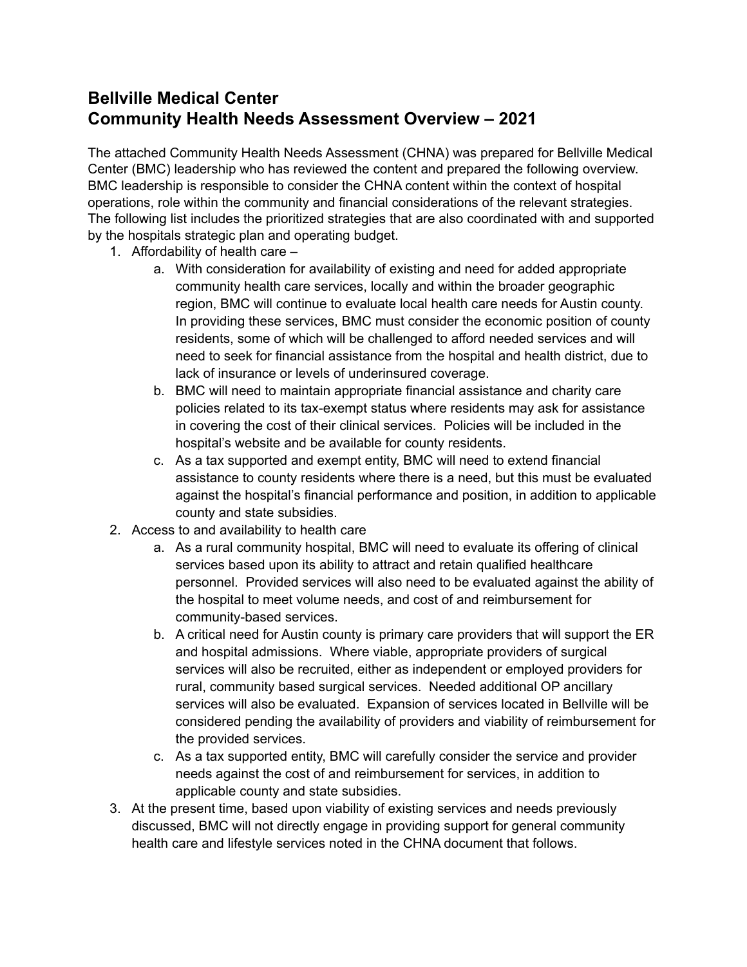## **Bellville Medical Center Community Health Needs Assessment Overview – 2021**

The attached Community Health Needs Assessment (CHNA) was prepared for Bellville Medical Center (BMC) leadership who has reviewed the content and prepared the following overview. BMC leadership is responsible to consider the CHNA content within the context of hospital operations, role within the community and financial considerations of the relevant strategies. The following list includes the prioritized strategies that are also coordinated with and supported by the hospitals strategic plan and operating budget.

- 1. Affordability of health care
	- a. With consideration for availability of existing and need for added appropriate community health care services, locally and within the broader geographic region, BMC will continue to evaluate local health care needs for Austin county. In providing these services, BMC must consider the economic position of county residents, some of which will be challenged to afford needed services and will need to seek for financial assistance from the hospital and health district, due to lack of insurance or levels of underinsured coverage.
	- b. BMC will need to maintain appropriate financial assistance and charity care policies related to its tax-exempt status where residents may ask for assistance in covering the cost of their clinical services. Policies will be included in the hospital's website and be available for county residents.
	- c. As a tax supported and exempt entity, BMC will need to extend financial assistance to county residents where there is a need, but this must be evaluated against the hospital's financial performance and position, in addition to applicable county and state subsidies.
- 2. Access to and availability to health care
	- a. As a rural community hospital, BMC will need to evaluate its offering of clinical services based upon its ability to attract and retain qualified healthcare personnel. Provided services will also need to be evaluated against the ability of the hospital to meet volume needs, and cost of and reimbursement for community-based services.
	- b. A critical need for Austin county is primary care providers that will support the ER and hospital admissions. Where viable, appropriate providers of surgical services will also be recruited, either as independent or employed providers for rural, community based surgical services. Needed additional OP ancillary services will also be evaluated. Expansion of services located in Bellville will be considered pending the availability of providers and viability of reimbursement for the provided services.
	- c. As a tax supported entity, BMC will carefully consider the service and provider needs against the cost of and reimbursement for services, in addition to applicable county and state subsidies.
- 3. At the present time, based upon viability of existing services and needs previously discussed, BMC will not directly engage in providing support for general community health care and lifestyle services noted in the CHNA document that follows.